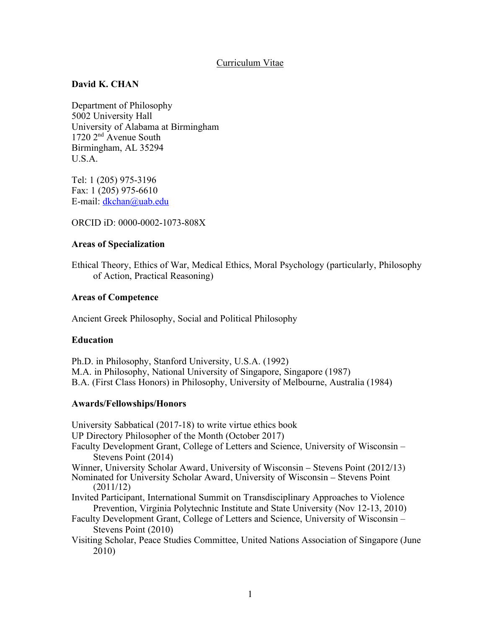# Curriculum Vitae

# **David K. CHAN**

Department of Philosophy 5002 University Hall University of Alabama at Birmingham 1720 2nd Avenue South Birmingham, AL 35294 U.S.A.

Tel: 1 (205) 975-3196 Fax: 1 (205) 975-6610 E-mail: dkchan@uab.edu

ORCID iD: 0000-0002-1073-808X

## **Areas of Specialization**

Ethical Theory, Ethics of War, Medical Ethics, Moral Psychology (particularly, Philosophy of Action, Practical Reasoning)

### **Areas of Competence**

Ancient Greek Philosophy, Social and Political Philosophy

## **Education**

Ph.D. in Philosophy, Stanford University, U.S.A. (1992) M.A. in Philosophy, National University of Singapore, Singapore (1987) B.A. (First Class Honors) in Philosophy, University of Melbourne, Australia (1984)

## **Awards/Fellowships/Honors**

University Sabbatical (2017-18) to write virtue ethics book UP Directory Philosopher of the Month (October 2017) Faculty Development Grant, College of Letters and Science, University of Wisconsin – Stevens Point (2014) Winner, University Scholar Award, University of Wisconsin – Stevens Point (2012/13) Nominated for University Scholar Award, University of Wisconsin – Stevens Point (2011/12) Invited Participant, International Summit on Transdisciplinary Approaches to Violence Prevention, Virginia Polytechnic Institute and State University (Nov 12-13, 2010) Faculty Development Grant, College of Letters and Science, University of Wisconsin – Stevens Point (2010) Visiting Scholar, Peace Studies Committee, United Nations Association of Singapore (June 2010)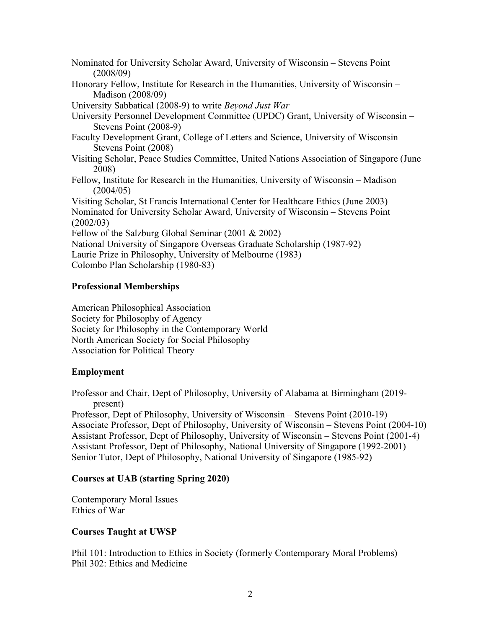Nominated for University Scholar Award, University of Wisconsin – Stevens Point (2008/09) Honorary Fellow, Institute for Research in the Humanities, University of Wisconsin – Madison (2008/09) University Sabbatical (2008-9) to write *Beyond Just War* University Personnel Development Committee (UPDC) Grant, University of Wisconsin – Stevens Point (2008-9) Faculty Development Grant, College of Letters and Science, University of Wisconsin – Stevens Point (2008) Visiting Scholar, Peace Studies Committee, United Nations Association of Singapore (June 2008) Fellow, Institute for Research in the Humanities, University of Wisconsin – Madison (2004/05) Visiting Scholar, St Francis International Center for Healthcare Ethics (June 2003) Nominated for University Scholar Award, University of Wisconsin – Stevens Point (2002/03) Fellow of the Salzburg Global Seminar (2001 & 2002) National University of Singapore Overseas Graduate Scholarship (1987-92) Laurie Prize in Philosophy, University of Melbourne (1983) Colombo Plan Scholarship (1980-83)

# **Professional Memberships**

American Philosophical Association Society for Philosophy of Agency Society for Philosophy in the Contemporary World North American Society for Social Philosophy Association for Political Theory

# **Employment**

Professor and Chair, Dept of Philosophy, University of Alabama at Birmingham (2019 present)

Professor, Dept of Philosophy, University of Wisconsin – Stevens Point (2010-19) Associate Professor, Dept of Philosophy, University of Wisconsin – Stevens Point (2004-10) Assistant Professor, Dept of Philosophy, University of Wisconsin – Stevens Point (2001-4) Assistant Professor, Dept of Philosophy, National University of Singapore (1992-2001) Senior Tutor, Dept of Philosophy, National University of Singapore (1985-92)

# **Courses at UAB (starting Spring 2020)**

Contemporary Moral Issues Ethics of War

# **Courses Taught at UWSP**

Phil 101: Introduction to Ethics in Society (formerly Contemporary Moral Problems) Phil 302: Ethics and Medicine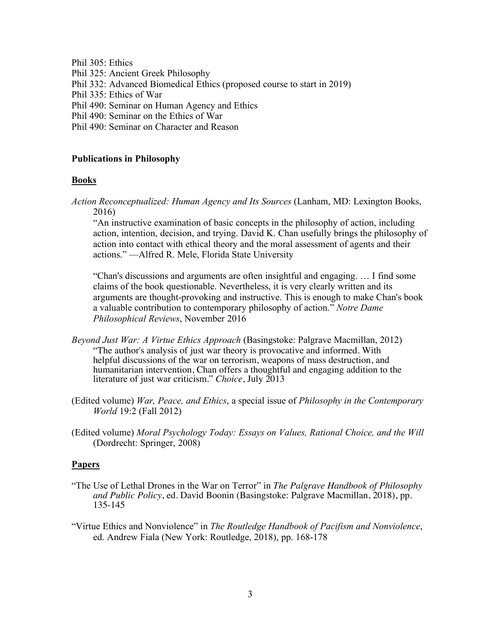Phil 305: Ethics

- Phil 325: Ancient Greek Philosophy
- Phil 332: Advanced Biomedical Ethics (proposed course to start in 2019)
- Phil 335: Ethics of War
- Phil 490: Seminar on Human Agency and Ethics
- Phil 490: Seminar on the Ethics of War
- Phil 490: Seminar on Character and Reason

### **Publications in Philosophy**

### **Books**

*Action Reconceptualized: Human Agency and Its Sources* (Lanham, MD: Lexington Books, 2016)

"An instructive examination of basic concepts in the philosophy of action, including action, intention, decision, and trying. David K. Chan usefully brings the philosophy of action into contact with ethical theory and the moral assessment of agents and their actions." —Alfred R. Mele, Florida State University

"Chan's discussions and arguments are often insightful and engaging. … I find some claims of the book questionable. Nevertheless, it is very clearly written and its arguments are thought-provoking and instructive. This is enough to make Chan's book a valuable contribution to contemporary philosophy of action." *Notre Dame Philosophical Reviews*, November 2016

- *Beyond Just War: A Virtue Ethics Approach* (Basingstoke: Palgrave Macmillan, 2012) "The author's analysis of just war theory is provocative and informed. With helpful discussions of the war on terrorism, weapons of mass destruction, and humanitarian intervention, Chan offers a thoughtful and engaging addition to the literature of just war criticism." *Choice*, July 2013
- (Edited volume) *War, Peace, and Ethics*, a special issue of *Philosophy in the Contemporary World* 19:2 (Fall 2012)
- (Edited volume) *Moral Psychology Today: Essays on Values, Rational Choice, and the Will* (Dordrecht: Springer, 2008)

#### **Papers**

- "The Use of Lethal Drones in the War on Terror" in *The Palgrave Handbook of Philosophy and Public Policy*, ed. David Boonin (Basingstoke: Palgrave Macmillan, 2018), pp. 135-145
- "Virtue Ethics and Nonviolence" in *The Routledge Handbook of Pacifism and Nonviolence*, ed. Andrew Fiala (New York: Routledge, 2018), pp. 168-178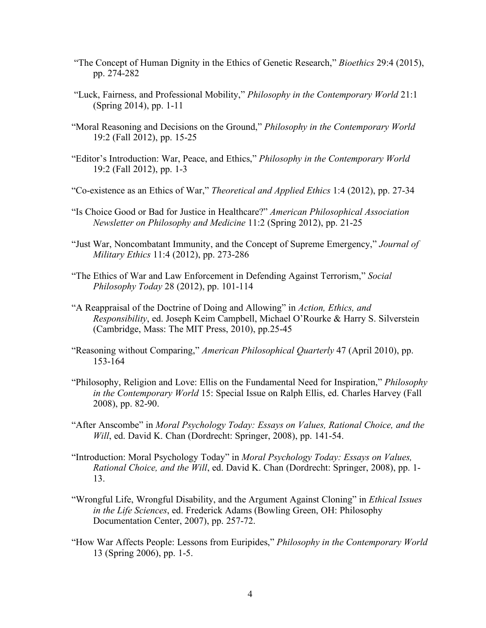- "The Concept of Human Dignity in the Ethics of Genetic Research," *Bioethics* 29:4 (2015), pp. 274-282
- "Luck, Fairness, and Professional Mobility," *Philosophy in the Contemporary World* 21:1 (Spring 2014), pp. 1-11
- "Moral Reasoning and Decisions on the Ground," *Philosophy in the Contemporary World* 19:2 (Fall 2012), pp. 15-25
- "Editor's Introduction: War, Peace, and Ethics," *Philosophy in the Contemporary World* 19:2 (Fall 2012), pp. 1-3
- "Co-existence as an Ethics of War," *Theoretical and Applied Ethics* 1:4 (2012), pp. 27-34
- "Is Choice Good or Bad for Justice in Healthcare?" *American Philosophical Association Newsletter on Philosophy and Medicine* 11:2 (Spring 2012), pp. 21-25
- "Just War, Noncombatant Immunity, and the Concept of Supreme Emergency," *Journal of Military Ethics* 11:4 (2012), pp. 273-286
- "The Ethics of War and Law Enforcement in Defending Against Terrorism," *Social Philosophy Today* 28 (2012), pp. 101-114
- "A Reappraisal of the Doctrine of Doing and Allowing" in *Action, Ethics, and Responsibility*, ed. Joseph Keim Campbell, Michael O'Rourke & Harry S. Silverstein (Cambridge, Mass: The MIT Press, 2010), pp.25-45
- "Reasoning without Comparing," *American Philosophical Quarterly* 47 (April 2010), pp. 153-164
- "Philosophy, Religion and Love: Ellis on the Fundamental Need for Inspiration," *Philosophy in the Contemporary World* 15: Special Issue on Ralph Ellis, ed. Charles Harvey (Fall 2008), pp. 82-90.
- "After Anscombe" in *Moral Psychology Today: Essays on Values, Rational Choice, and the Will*, ed. David K. Chan (Dordrecht: Springer, 2008), pp. 141-54.
- "Introduction: Moral Psychology Today" in *Moral Psychology Today: Essays on Values, Rational Choice, and the Will*, ed. David K. Chan (Dordrecht: Springer, 2008), pp. 1- 13.
- "Wrongful Life, Wrongful Disability, and the Argument Against Cloning" in *Ethical Issues in the Life Sciences*, ed. Frederick Adams (Bowling Green, OH: Philosophy Documentation Center, 2007), pp. 257-72.
- "How War Affects People: Lessons from Euripides," *Philosophy in the Contemporary World* 13 (Spring 2006), pp. 1-5.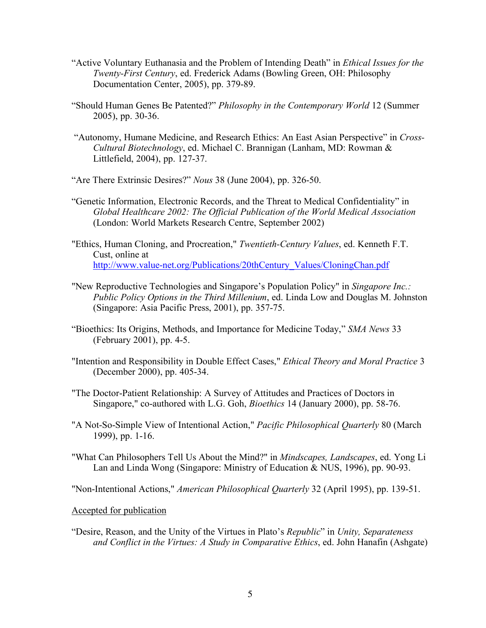- "Active Voluntary Euthanasia and the Problem of Intending Death" in *Ethical Issues for the Twenty-First Century*, ed. Frederick Adams (Bowling Green, OH: Philosophy Documentation Center, 2005), pp. 379-89.
- "Should Human Genes Be Patented?" *Philosophy in the Contemporary World* 12 (Summer 2005), pp. 30-36.
- "Autonomy, Humane Medicine, and Research Ethics: An East Asian Perspective" in *Cross-Cultural Biotechnology*, ed. Michael C. Brannigan (Lanham, MD: Rowman & Littlefield, 2004), pp. 127-37.
- "Are There Extrinsic Desires?" *Nous* 38 (June 2004), pp. 326-50.
- "Genetic Information, Electronic Records, and the Threat to Medical Confidentiality" in *Global Healthcare 2002: The Official Publication of the World Medical Association* (London: World Markets Research Centre, September 2002)
- "Ethics, Human Cloning, and Procreation," *Twentieth-Century Values*, ed. Kenneth F.T. Cust, online at http://www.value-net.org/Publications/20thCentury\_Values/CloningChan.pdf
- "New Reproductive Technologies and Singapore's Population Policy" in *Singapore Inc.: Public Policy Options in the Third Millenium*, ed. Linda Low and Douglas M. Johnston (Singapore: Asia Pacific Press, 2001), pp. 357-75.
- "Bioethics: Its Origins, Methods, and Importance for Medicine Today," *SMA News* 33 (February 2001), pp. 4-5.
- "Intention and Responsibility in Double Effect Cases," *Ethical Theory and Moral Practice* 3 (December 2000), pp. 405-34.
- "The Doctor-Patient Relationship: A Survey of Attitudes and Practices of Doctors in Singapore," co-authored with L.G. Goh, *Bioethics* 14 (January 2000), pp. 58-76.
- "A Not-So-Simple View of Intentional Action," *Pacific Philosophical Quarterly* 80 (March 1999), pp. 1-16.
- "What Can Philosophers Tell Us About the Mind?" in *Mindscapes, Landscapes*, ed. Yong Li Lan and Linda Wong (Singapore: Ministry of Education & NUS, 1996), pp. 90-93.

"Non-Intentional Actions," *American Philosophical Quarterly* 32 (April 1995), pp. 139-51.

Accepted for publication

"Desire, Reason, and the Unity of the Virtues in Plato's *Republic*" in *Unity, Separateness and Conflict in the Virtues: A Study in Comparative Ethics*, ed. John Hanafin (Ashgate)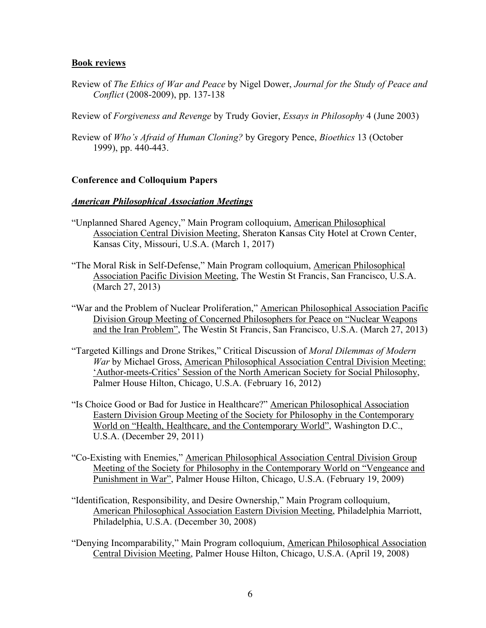### **Book reviews**

Review of *The Ethics of War and Peace* by Nigel Dower, *Journal for the Study of Peace and Conflict* (2008-2009), pp. 137-138

Review of *Forgiveness and Revenge* by Trudy Govier, *Essays in Philosophy* 4 (June 2003)

Review of *Who's Afraid of Human Cloning?* by Gregory Pence, *Bioethics* 13 (October 1999), pp. 440-443.

## **Conference and Colloquium Papers**

#### *American Philosophical Association Meetings*

- "Unplanned Shared Agency," Main Program colloquium, American Philosophical Association Central Division Meeting, Sheraton Kansas City Hotel at Crown Center, Kansas City, Missouri, U.S.A. (March 1, 2017)
- "The Moral Risk in Self-Defense," Main Program colloquium, American Philosophical Association Pacific Division Meeting, The Westin St Francis, San Francisco, U.S.A. (March 27, 2013)
- "War and the Problem of Nuclear Proliferation," American Philosophical Association Pacific Division Group Meeting of Concerned Philosophers for Peace on "Nuclear Weapons and the Iran Problem", The Westin St Francis, San Francisco, U.S.A. (March 27, 2013)
- "Targeted Killings and Drone Strikes," Critical Discussion of *Moral Dilemmas of Modern War* by Michael Gross, American Philosophical Association Central Division Meeting: 'Author-meets-Critics' Session of the North American Society for Social Philosophy, Palmer House Hilton, Chicago, U.S.A. (February 16, 2012)
- "Is Choice Good or Bad for Justice in Healthcare?" American Philosophical Association Eastern Division Group Meeting of the Society for Philosophy in the Contemporary World on "Health, Healthcare, and the Contemporary World", Washington D.C., U.S.A. (December 29, 2011)
- "Co-Existing with Enemies," American Philosophical Association Central Division Group Meeting of the Society for Philosophy in the Contemporary World on "Vengeance and Punishment in War", Palmer House Hilton, Chicago, U.S.A. (February 19, 2009)
- "Identification, Responsibility, and Desire Ownership," Main Program colloquium, American Philosophical Association Eastern Division Meeting, Philadelphia Marriott, Philadelphia, U.S.A. (December 30, 2008)
- "Denying Incomparability," Main Program colloquium, American Philosophical Association Central Division Meeting, Palmer House Hilton, Chicago, U.S.A. (April 19, 2008)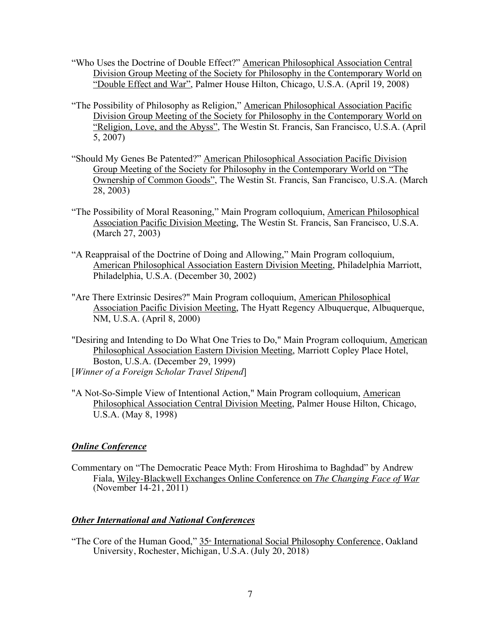- "Who Uses the Doctrine of Double Effect?" American Philosophical Association Central Division Group Meeting of the Society for Philosophy in the Contemporary World on "Double Effect and War", Palmer House Hilton, Chicago, U.S.A. (April 19, 2008)
- "The Possibility of Philosophy as Religion," American Philosophical Association Pacific Division Group Meeting of the Society for Philosophy in the Contemporary World on "Religion, Love, and the Abyss", The Westin St. Francis, San Francisco, U.S.A. (April 5, 2007)
- "Should My Genes Be Patented?" American Philosophical Association Pacific Division Group Meeting of the Society for Philosophy in the Contemporary World on "The Ownership of Common Goods", The Westin St. Francis, San Francisco, U.S.A. (March 28, 2003)
- "The Possibility of Moral Reasoning," Main Program colloquium, American Philosophical Association Pacific Division Meeting, The Westin St. Francis, San Francisco, U.S.A. (March 27, 2003)
- "A Reappraisal of the Doctrine of Doing and Allowing," Main Program colloquium, American Philosophical Association Eastern Division Meeting, Philadelphia Marriott, Philadelphia, U.S.A. (December 30, 2002)
- "Are There Extrinsic Desires?" Main Program colloquium, American Philosophical Association Pacific Division Meeting, The Hyatt Regency Albuquerque, Albuquerque, NM, U.S.A. (April 8, 2000)
- "Desiring and Intending to Do What One Tries to Do," Main Program colloquium, American Philosophical Association Eastern Division Meeting, Marriott Copley Place Hotel, Boston, U.S.A. (December 29, 1999) [*Winner of a Foreign Scholar Travel Stipend*]
- "A Not-So-Simple View of Intentional Action," Main Program colloquium, American Philosophical Association Central Division Meeting, Palmer House Hilton, Chicago, U.S.A. (May 8, 1998)

# *Online Conference*

Commentary on "The Democratic Peace Myth: From Hiroshima to Baghdad" by Andrew Fiala, Wiley-Blackwell Exchanges Online Conference on *The Changing Face of War* (November 14-21, 2011)

## *Other International and National Conferences*

"The Core of the Human Good," 35<sup>th</sup> International Social Philosophy Conference, Oakland University, Rochester, Michigan, U.S.A. (July 20, 2018)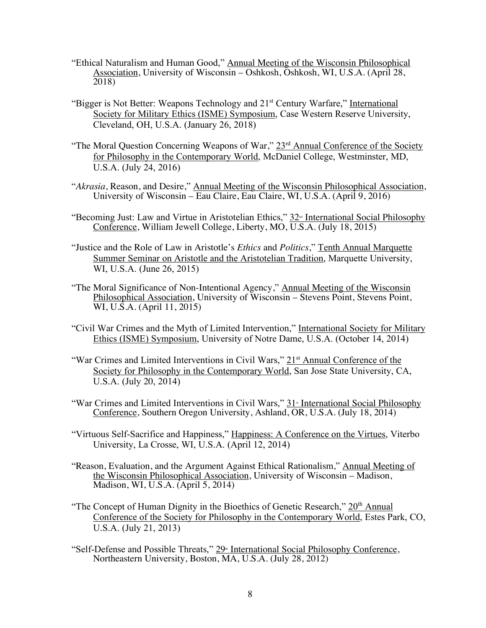- "Ethical Naturalism and Human Good," Annual Meeting of the Wisconsin Philosophical Association, University of Wisconsin – Oshkosh, Oshkosh, WI, U.S.A. (April 28, 2018)
- "Bigger is Not Better: Weapons Technology and 21<sup>st</sup> Century Warfare," International Society for Military Ethics (ISME) Symposium, Case Western Reserve University, Cleveland, OH, U.S.A. (January 26, 2018)
- "The Moral Question Concerning Weapons of War," 23<sup>rd</sup> Annual Conference of the Society for Philosophy in the Contemporary World, McDaniel College, Westminster, MD, U.S.A. (July 24, 2016)
- "*Akrasia*, Reason, and Desire," Annual Meeting of the Wisconsin Philosophical Association, University of Wisconsin – Eau Claire, Eau Claire, WI, U.S.A. (April 9, 2016)
- "Becoming Just: Law and Virtue in Aristotelian Ethics," 32<sup>nd</sup> International Social Philosophy Conference, William Jewell College, Liberty, MO, U.S.A. (July 18, 2015)
- "Justice and the Role of Law in Aristotle's *Ethics* and *Politics*," Tenth Annual Marquette Summer Seminar on Aristotle and the Aristotelian Tradition, Marquette University, WI, U.S.A. (June 26, 2015)
- "The Moral Significance of Non-Intentional Agency," Annual Meeting of the Wisconsin Philosophical Association, University of Wisconsin – Stevens Point, Stevens Point, WI, U.S.A. (April 11, 2015)
- "Civil War Crimes and the Myth of Limited Intervention," International Society for Military Ethics (ISME) Symposium, University of Notre Dame, U.S.A. (October 14, 2014)
- "War Crimes and Limited Interventions in Civil Wars," 21<sup>st</sup> Annual Conference of the Society for Philosophy in the Contemporary World, San Jose State University, CA, U.S.A. (July 20, 2014)
- "War Crimes and Limited Interventions in Civil Wars," 31<sup>\*</sup> International Social Philosophy Conference, Southern Oregon University, Ashland, OR, U.S.A. (July 18, 2014)
- "Virtuous Self-Sacrifice and Happiness," Happiness: A Conference on the Virtues, Viterbo University, La Crosse, WI, U.S.A. (April 12, 2014)
- "Reason, Evaluation, and the Argument Against Ethical Rationalism," Annual Meeting of the Wisconsin Philosophical Association, University of Wisconsin – Madison, Madison, WI, U.S.A. (April 5, 2014)
- "The Concept of Human Dignity in the Bioethics of Genetic Research,"  $20<sup>th</sup>$  Annual Conference of the Society for Philosophy in the Contemporary World, Estes Park, CO, U.S.A. (July 21, 2013)
- "Self-Defense and Possible Threats," 29<sup>th</sup> International Social Philosophy Conference, Northeastern University, Boston, MA, U.S.A. (July 28, 2012)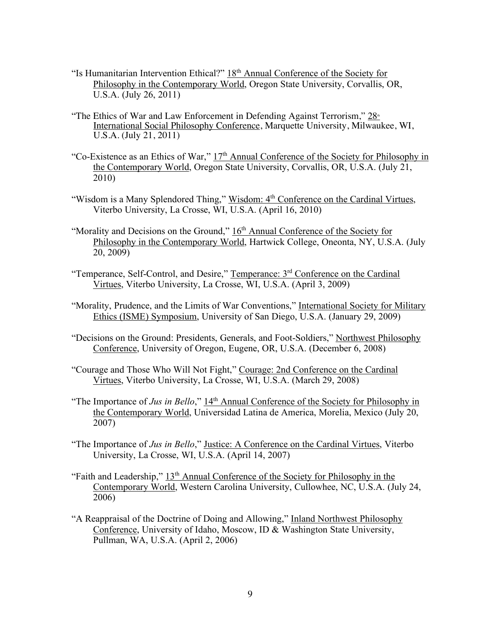- "Is Humanitarian Intervention Ethical?"  $18<sup>th</sup>$  Annual Conference of the Society for Philosophy in the Contemporary World, Oregon State University, Corvallis, OR, U.S.A. (July 26, 2011)
- "The Ethics of War and Law Enforcement in Defending Against Terrorism,"  $28<sup>th</sup>$ International Social Philosophy Conference, Marquette University, Milwaukee, WI, U.S.A. (July 21, 2011)
- "Co-Existence as an Ethics of War," 17th Annual Conference of the Society for Philosophy in the Contemporary World, Oregon State University, Corvallis, OR, U.S.A. (July 21, 2010)
- "Wisdom is a Many Splendored Thing," Wisdom: 4<sup>th</sup> Conference on the Cardinal Virtues, Viterbo University, La Crosse, WI, U.S.A. (April 16, 2010)
- "Morality and Decisions on the Ground,"  $16<sup>th</sup>$  Annual Conference of the Society for Philosophy in the Contemporary World, Hartwick College, Oneonta, NY, U.S.A. (July 20, 2009)
- "Temperance, Self-Control, and Desire," Temperance: 3rd Conference on the Cardinal Virtues, Viterbo University, La Crosse, WI, U.S.A. (April 3, 2009)
- "Morality, Prudence, and the Limits of War Conventions," International Society for Military Ethics (ISME) Symposium, University of San Diego, U.S.A. (January 29, 2009)
- "Decisions on the Ground: Presidents, Generals, and Foot-Soldiers," Northwest Philosophy Conference, University of Oregon, Eugene, OR, U.S.A. (December 6, 2008)
- "Courage and Those Who Will Not Fight," Courage: 2nd Conference on the Cardinal Virtues, Viterbo University, La Crosse, WI, U.S.A. (March 29, 2008)
- "The Importance of *Jus in Bello*," 14<sup>th</sup> Annual Conference of the Society for Philosophy in the Contemporary World, Universidad Latina de America, Morelia, Mexico (July 20, 2007)
- "The Importance of *Jus in Bello*," Justice: A Conference on the Cardinal Virtues, Viterbo University, La Crosse, WI, U.S.A. (April 14, 2007)
- "Faith and Leadership,"  $13<sup>th</sup>$  Annual Conference of the Society for Philosophy in the Contemporary World, Western Carolina University, Cullowhee, NC, U.S.A. (July 24, 2006)
- "A Reappraisal of the Doctrine of Doing and Allowing," Inland Northwest Philosophy Conference, University of Idaho, Moscow, ID & Washington State University, Pullman, WA, U.S.A. (April 2, 2006)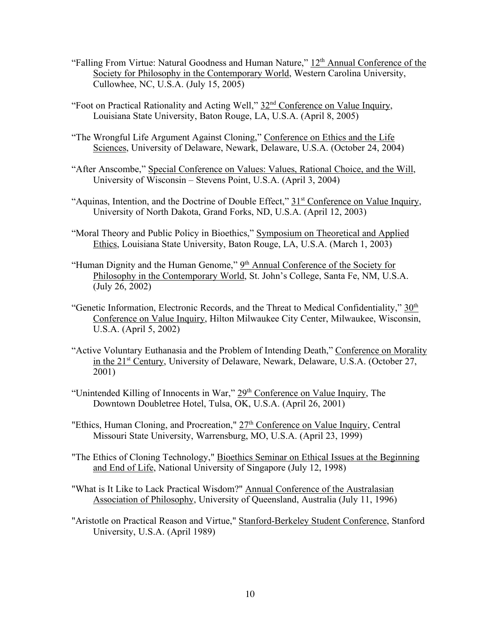- "Falling From Virtue: Natural Goodness and Human Nature,"  $12<sup>th</sup>$  Annual Conference of the Society for Philosophy in the Contemporary World, Western Carolina University, Cullowhee, NC, U.S.A. (July 15, 2005)
- "Foot on Practical Rationality and Acting Well," 32nd Conference on Value Inquiry, Louisiana State University, Baton Rouge, LA, U.S.A. (April 8, 2005)
- "The Wrongful Life Argument Against Cloning," Conference on Ethics and the Life Sciences, University of Delaware, Newark, Delaware, U.S.A. (October 24, 2004)
- "After Anscombe," Special Conference on Values: Values, Rational Choice, and the Will, University of Wisconsin – Stevens Point, U.S.A. (April 3, 2004)
- "Aquinas, Intention, and the Doctrine of Double Effect," 31<sup>st</sup> Conference on Value Inquiry, University of North Dakota, Grand Forks, ND, U.S.A. (April 12, 2003)
- "Moral Theory and Public Policy in Bioethics," Symposium on Theoretical and Applied Ethics, Louisiana State University, Baton Rouge, LA, U.S.A. (March 1, 2003)
- "Human Dignity and the Human Genome,"  $9<sup>th</sup>$  Annual Conference of the Society for Philosophy in the Contemporary World, St. John's College, Santa Fe, NM, U.S.A. (July 26, 2002)
- "Genetic Information, Electronic Records, and the Threat to Medical Confidentiality," 30<sup>th</sup> Conference on Value Inquiry, Hilton Milwaukee City Center, Milwaukee, Wisconsin, U.S.A. (April 5, 2002)
- "Active Voluntary Euthanasia and the Problem of Intending Death," Conference on Morality in the 21st Century, University of Delaware, Newark, Delaware, U.S.A. (October 27, 2001)
- "Unintended Killing of Innocents in War,"  $29<sup>th</sup>$  Conference on Value Inquiry, The Downtown Doubletree Hotel, Tulsa, OK, U.S.A. (April 26, 2001)
- "Ethics, Human Cloning, and Procreation," 27<sup>th</sup> Conference on Value Inquiry, Central Missouri State University, Warrensburg, MO, U.S.A. (April 23, 1999)
- "The Ethics of Cloning Technology," Bioethics Seminar on Ethical Issues at the Beginning and End of Life, National University of Singapore (July 12, 1998)
- "What is It Like to Lack Practical Wisdom?" Annual Conference of the Australasian Association of Philosophy, University of Queensland, Australia (July 11, 1996)
- "Aristotle on Practical Reason and Virtue," Stanford-Berkeley Student Conference, Stanford University, U.S.A. (April 1989)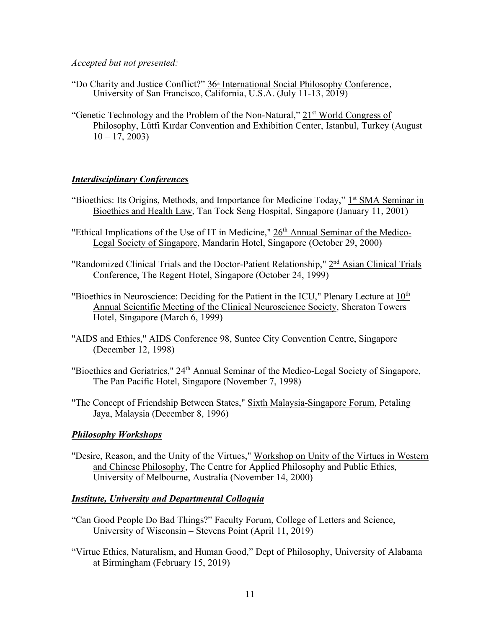*Accepted but not presented:*

- "Do Charity and Justice Conflict?" 36<sup>th</sup> International Social Philosophy Conference, University of San Francisco, California, U.S.A. (July 11-13, 2019)
- "Genetic Technology and the Problem of the Non-Natural,"  $21<sup>st</sup>$  World Congress of Philosophy, Lütfi Kırdar Convention and Exhibition Center, Istanbul, Turkey (August  $10 - 17, 2003$

# *Interdisciplinary Conferences*

- "Bioethics: Its Origins, Methods, and Importance for Medicine Today," 1<sup>st</sup> SMA Seminar in Bioethics and Health Law, Tan Tock Seng Hospital, Singapore (January 11, 2001)
- "Ethical Implications of the Use of IT in Medicine," 26<sup>th</sup> Annual Seminar of the Medico-Legal Society of Singapore, Mandarin Hotel, Singapore (October 29, 2000)
- "Randomized Clinical Trials and the Doctor-Patient Relationship," 2<sup>nd</sup> Asian Clinical Trials Conference, The Regent Hotel, Singapore (October 24, 1999)
- "Bioethics in Neuroscience: Deciding for the Patient in the ICU," Plenary Lecture at 10<sup>th</sup> Annual Scientific Meeting of the Clinical Neuroscience Society, Sheraton Towers Hotel, Singapore (March 6, 1999)
- "AIDS and Ethics," AIDS Conference 98, Suntec City Convention Centre, Singapore (December 12, 1998)
- "Bioethics and Geriatrics,"  $24<sup>th</sup>$  Annual Seminar of the Medico-Legal Society of Singapore, The Pan Pacific Hotel, Singapore (November 7, 1998)
- "The Concept of Friendship Between States," Sixth Malaysia-Singapore Forum, Petaling Jaya, Malaysia (December 8, 1996)

## *Philosophy Workshops*

"Desire, Reason, and the Unity of the Virtues," Workshop on Unity of the Virtues in Western and Chinese Philosophy, The Centre for Applied Philosophy and Public Ethics, University of Melbourne, Australia (November 14, 2000)

## *Institute, University and Departmental Colloquia*

- "Can Good People Do Bad Things?" Faculty Forum, College of Letters and Science, University of Wisconsin – Stevens Point (April 11, 2019)
- "Virtue Ethics, Naturalism, and Human Good," Dept of Philosophy, University of Alabama at Birmingham (February 15, 2019)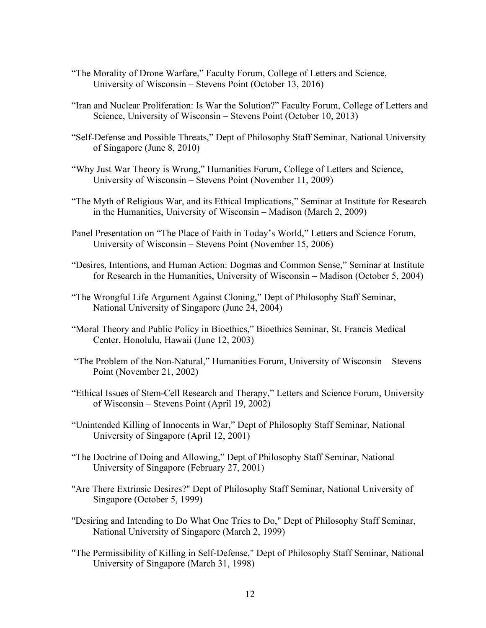- "The Morality of Drone Warfare," Faculty Forum, College of Letters and Science, University of Wisconsin – Stevens Point (October 13, 2016)
- "Iran and Nuclear Proliferation: Is War the Solution?" Faculty Forum, College of Letters and Science, University of Wisconsin – Stevens Point (October 10, 2013)
- "Self-Defense and Possible Threats," Dept of Philosophy Staff Seminar, National University of Singapore (June 8, 2010)
- "Why Just War Theory is Wrong," Humanities Forum, College of Letters and Science, University of Wisconsin – Stevens Point (November 11, 2009)
- "The Myth of Religious War, and its Ethical Implications," Seminar at Institute for Research in the Humanities, University of Wisconsin – Madison (March 2, 2009)
- Panel Presentation on "The Place of Faith in Today's World," Letters and Science Forum, University of Wisconsin – Stevens Point (November 15, 2006)
- "Desires, Intentions, and Human Action: Dogmas and Common Sense," Seminar at Institute for Research in the Humanities, University of Wisconsin – Madison (October 5, 2004)
- "The Wrongful Life Argument Against Cloning," Dept of Philosophy Staff Seminar, National University of Singapore (June 24, 2004)
- "Moral Theory and Public Policy in Bioethics," Bioethics Seminar, St. Francis Medical Center, Honolulu, Hawaii (June 12, 2003)
- "The Problem of the Non-Natural," Humanities Forum, University of Wisconsin Stevens Point (November 21, 2002)
- "Ethical Issues of Stem-Cell Research and Therapy," Letters and Science Forum, University of Wisconsin – Stevens Point (April 19, 2002)
- "Unintended Killing of Innocents in War," Dept of Philosophy Staff Seminar, National University of Singapore (April 12, 2001)
- "The Doctrine of Doing and Allowing," Dept of Philosophy Staff Seminar, National University of Singapore (February 27, 2001)
- "Are There Extrinsic Desires?" Dept of Philosophy Staff Seminar, National University of Singapore (October 5, 1999)
- "Desiring and Intending to Do What One Tries to Do," Dept of Philosophy Staff Seminar, National University of Singapore (March 2, 1999)
- "The Permissibility of Killing in Self-Defense," Dept of Philosophy Staff Seminar, National University of Singapore (March 31, 1998)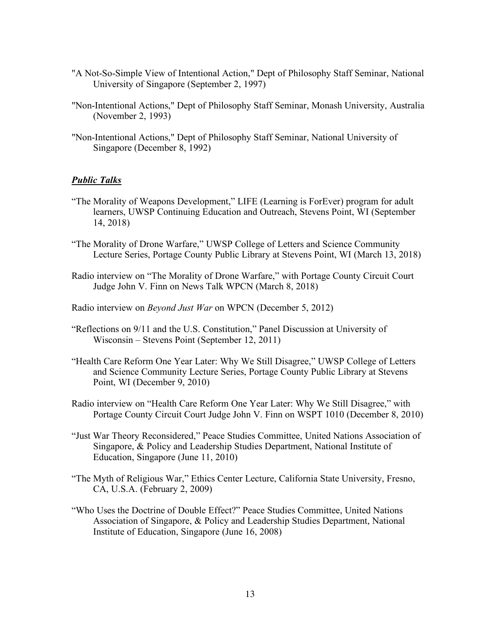- "A Not-So-Simple View of Intentional Action," Dept of Philosophy Staff Seminar, National University of Singapore (September 2, 1997)
- "Non-Intentional Actions," Dept of Philosophy Staff Seminar, Monash University, Australia (November 2, 1993)
- "Non-Intentional Actions," Dept of Philosophy Staff Seminar, National University of Singapore (December 8, 1992)

### *Public Talks*

- "The Morality of Weapons Development," LIFE (Learning is ForEver) program for adult learners, UWSP Continuing Education and Outreach, Stevens Point, WI (September 14, 2018)
- "The Morality of Drone Warfare," UWSP College of Letters and Science Community Lecture Series, Portage County Public Library at Stevens Point, WI (March 13, 2018)
- Radio interview on "The Morality of Drone Warfare," with Portage County Circuit Court Judge John V. Finn on News Talk WPCN (March 8, 2018)
- Radio interview on *Beyond Just War* on WPCN (December 5, 2012)
- "Reflections on 9/11 and the U.S. Constitution," Panel Discussion at University of Wisconsin – Stevens Point (September 12, 2011)
- "Health Care Reform One Year Later: Why We Still Disagree," UWSP College of Letters and Science Community Lecture Series, Portage County Public Library at Stevens Point, WI (December 9, 2010)
- Radio interview on "Health Care Reform One Year Later: Why We Still Disagree," with Portage County Circuit Court Judge John V. Finn on WSPT 1010 (December 8, 2010)
- "Just War Theory Reconsidered," Peace Studies Committee, United Nations Association of Singapore, & Policy and Leadership Studies Department, National Institute of Education, Singapore (June 11, 2010)
- "The Myth of Religious War," Ethics Center Lecture, California State University, Fresno, CA, U.S.A. (February 2, 2009)
- "Who Uses the Doctrine of Double Effect?" Peace Studies Committee, United Nations Association of Singapore, & Policy and Leadership Studies Department, National Institute of Education, Singapore (June 16, 2008)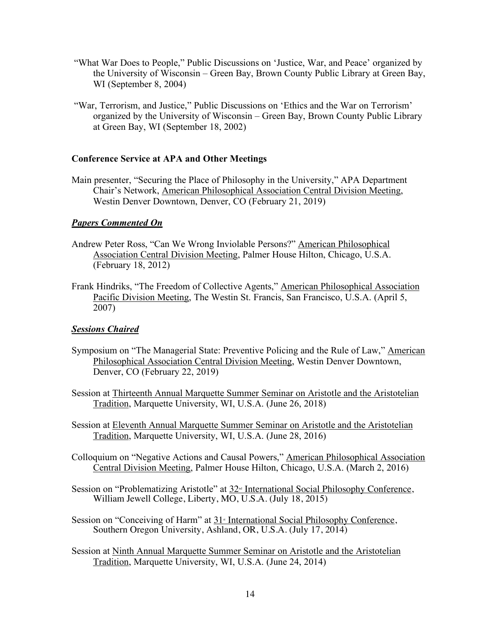- "What War Does to People," Public Discussions on 'Justice, War, and Peace' organized by the University of Wisconsin – Green Bay, Brown County Public Library at Green Bay, WI (September 8, 2004)
- "War, Terrorism, and Justice," Public Discussions on 'Ethics and the War on Terrorism' organized by the University of Wisconsin – Green Bay, Brown County Public Library at Green Bay, WI (September 18, 2002)

### **Conference Service at APA and Other Meetings**

Main presenter, "Securing the Place of Philosophy in the University," APA Department Chair's Network, American Philosophical Association Central Division Meeting, Westin Denver Downtown, Denver, CO (February 21, 2019)

## *Papers Commented On*

- Andrew Peter Ross, "Can We Wrong Inviolable Persons?" American Philosophical Association Central Division Meeting, Palmer House Hilton, Chicago, U.S.A. (February 18, 2012)
- Frank Hindriks, "The Freedom of Collective Agents," American Philosophical Association Pacific Division Meeting, The Westin St. Francis, San Francisco, U.S.A. (April 5, 2007)

## *Sessions Chaired*

- Symposium on "The Managerial State: Preventive Policing and the Rule of Law," American Philosophical Association Central Division Meeting, Westin Denver Downtown, Denver, CO (February 22, 2019)
- Session at Thirteenth Annual Marquette Summer Seminar on Aristotle and the Aristotelian Tradition, Marquette University, WI, U.S.A. (June 26, 2018)
- Session at Eleventh Annual Marquette Summer Seminar on Aristotle and the Aristotelian Tradition, Marquette University, WI, U.S.A. (June 28, 2016)
- Colloquium on "Negative Actions and Causal Powers," American Philosophical Association Central Division Meeting, Palmer House Hilton, Chicago, U.S.A. (March 2, 2016)
- Session on "Problematizing Aristotle" at 32<sup>nd</sup> International Social Philosophy Conference, William Jewell College, Liberty, MO, U.S.A. (July 18, 2015)
- Session on "Conceiving of Harm" at 31<sup>*s*</sup> International Social Philosophy Conference, Southern Oregon University, Ashland, OR, U.S.A. (July 17, 2014)
- Session at Ninth Annual Marquette Summer Seminar on Aristotle and the Aristotelian Tradition, Marquette University, WI, U.S.A. (June 24, 2014)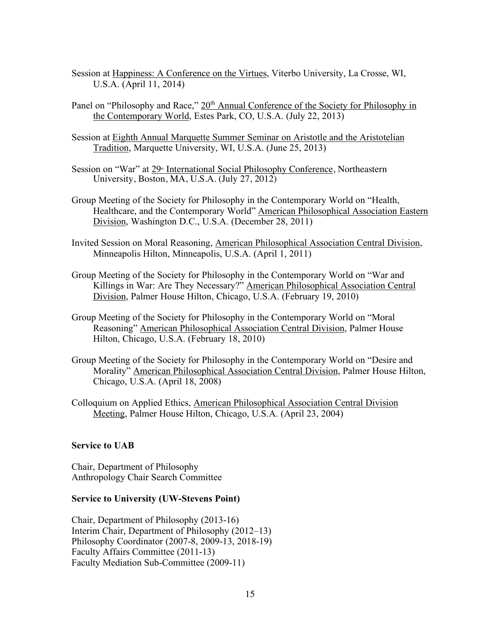- Session at Happiness: A Conference on the Virtues, Viterbo University, La Crosse, WI, U.S.A. (April 11, 2014)
- Panel on "Philosophy and Race," 20<sup>th</sup> Annual Conference of the Society for Philosophy in the Contemporary World, Estes Park, CO, U.S.A. (July 22, 2013)
- Session at Eighth Annual Marquette Summer Seminar on Aristotle and the Aristotelian Tradition, Marquette University, WI, U.S.A. (June 25, 2013)
- Session on "War" at 29<sup>th</sup> International Social Philosophy Conference, Northeastern University, Boston, MA, U.S.A. (July 27, 2012)
- Group Meeting of the Society for Philosophy in the Contemporary World on "Health, Healthcare, and the Contemporary World" American Philosophical Association Eastern Division, Washington D.C., U.S.A. (December 28, 2011)
- Invited Session on Moral Reasoning, American Philosophical Association Central Division, Minneapolis Hilton, Minneapolis, U.S.A. (April 1, 2011)
- Group Meeting of the Society for Philosophy in the Contemporary World on "War and Killings in War: Are They Necessary?" American Philosophical Association Central Division, Palmer House Hilton, Chicago, U.S.A. (February 19, 2010)
- Group Meeting of the Society for Philosophy in the Contemporary World on "Moral Reasoning" American Philosophical Association Central Division, Palmer House Hilton, Chicago, U.S.A. (February 18, 2010)
- Group Meeting of the Society for Philosophy in the Contemporary World on "Desire and Morality" American Philosophical Association Central Division, Palmer House Hilton, Chicago, U.S.A. (April 18, 2008)
- Colloquium on Applied Ethics, American Philosophical Association Central Division Meeting, Palmer House Hilton, Chicago, U.S.A. (April 23, 2004)

## **Service to UAB**

Chair, Department of Philosophy Anthropology Chair Search Committee

#### **Service to University (UW-Stevens Point)**

Chair, Department of Philosophy (2013-16) Interim Chair, Department of Philosophy (2012–13) Philosophy Coordinator (2007-8, 2009-13, 2018-19) Faculty Affairs Committee (2011-13) Faculty Mediation Sub-Committee (2009-11)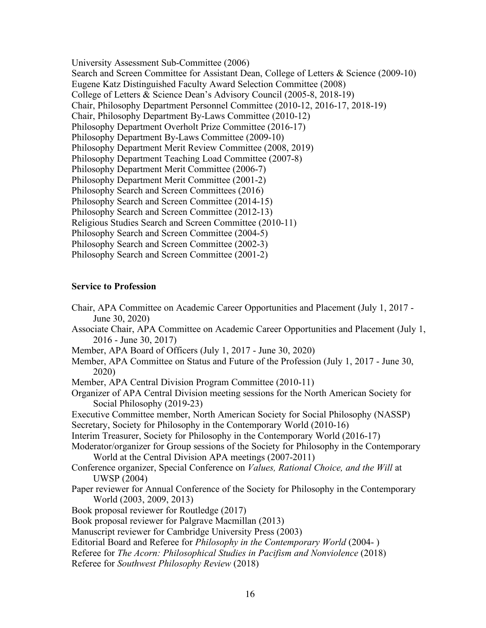University Assessment Sub-Committee (2006) Search and Screen Committee for Assistant Dean, College of Letters & Science (2009-10) Eugene Katz Distinguished Faculty Award Selection Committee (2008) College of Letters & Science Dean's Advisory Council (2005-8, 2018-19) Chair, Philosophy Department Personnel Committee (2010-12, 2016-17, 2018-19) Chair, Philosophy Department By-Laws Committee (2010-12) Philosophy Department Overholt Prize Committee (2016-17) Philosophy Department By-Laws Committee (2009-10) Philosophy Department Merit Review Committee (2008, 2019) Philosophy Department Teaching Load Committee (2007-8) Philosophy Department Merit Committee (2006-7) Philosophy Department Merit Committee (2001-2) Philosophy Search and Screen Committees (2016) Philosophy Search and Screen Committee (2014-15) Philosophy Search and Screen Committee (2012-13) Religious Studies Search and Screen Committee (2010-11) Philosophy Search and Screen Committee (2004-5) Philosophy Search and Screen Committee (2002-3) Philosophy Search and Screen Committee (2001-2)

## **Service to Profession**

Chair, APA Committee on Academic Career Opportunities and Placement (July 1, 2017 - June 30, 2020) Associate Chair, APA Committee on Academic Career Opportunities and Placement (July 1, 2016 - June 30, 2017) Member, APA Board of Officers (July 1, 2017 - June 30, 2020) Member, APA Committee on Status and Future of the Profession (July 1, 2017 - June 30, 2020) Member, APA Central Division Program Committee (2010-11) Organizer of APA Central Division meeting sessions for the North American Society for Social Philosophy (2019-23) Executive Committee member, North American Society for Social Philosophy (NASSP) Secretary, Society for Philosophy in the Contemporary World (2010-16) Interim Treasurer, Society for Philosophy in the Contemporary World (2016-17) Moderator/organizer for Group sessions of the Society for Philosophy in the Contemporary World at the Central Division APA meetings (2007-2011) Conference organizer, Special Conference on *Values, Rational Choice, and the Will* at UWSP (2004) Paper reviewer for Annual Conference of the Society for Philosophy in the Contemporary World (2003, 2009, 2013) Book proposal reviewer for Routledge (2017) Book proposal reviewer for Palgrave Macmillan (2013) Manuscript reviewer for Cambridge University Press (2003) Editorial Board and Referee for *Philosophy in the Contemporary World* (2004- ) Referee for *The Acorn: Philosophical Studies in Pacifism and Nonviolence* (2018) Referee for *Southwest Philosophy Review* (2018)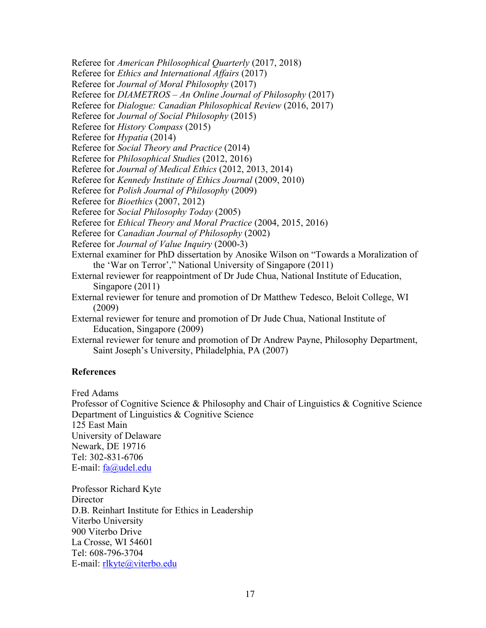Referee for *American Philosophical Quarterly* (2017, 2018)

Referee for *Ethics and International Affairs* (2017)

Referee for *Journal of Moral Philosophy* (2017)

Referee for *DIAMETROS – An Online Journal of Philosophy* (2017)

Referee for *Dialogue: Canadian Philosophical Review* (2016, 2017)

Referee for *Journal of Social Philosophy* (2015)

Referee for *History Compass* (2015)

Referee for *Hypatia* (2014)

Referee for *Social Theory and Practice* (2014)

Referee for *Philosophical Studies* (2012, 2016)

Referee for *Journal of Medical Ethics* (2012, 2013, 2014)

Referee for *Kennedy Institute of Ethics Journal* (2009, 2010)

Referee for *Polish Journal of Philosophy* (2009)

Referee for *Bioethics* (2007, 2012)

Referee for *Social Philosophy Today* (2005)

Referee for *Ethical Theory and Moral Practice* (2004, 2015, 2016)

Referee for *Canadian Journal of Philosophy* (2002)

Referee for *Journal of Value Inquiry* (2000-3)

External examiner for PhD dissertation by Anosike Wilson on "Towards a Moralization of the 'War on Terror'," National University of Singapore (2011)

External reviewer for reappointment of Dr Jude Chua, National Institute of Education, Singapore (2011)

External reviewer for tenure and promotion of Dr Matthew Tedesco, Beloit College, WI (2009)

External reviewer for tenure and promotion of Dr Jude Chua, National Institute of Education, Singapore (2009)

External reviewer for tenure and promotion of Dr Andrew Payne, Philosophy Department, Saint Joseph's University, Philadelphia, PA (2007)

## **References**

Fred Adams

Professor of Cognitive Science & Philosophy and Chair of Linguistics & Cognitive Science Department of Linguistics & Cognitive Science 125 East Main University of Delaware Newark, DE 19716 Tel: 302-831-6706 E-mail: fa@udel.edu

Professor Richard Kyte **Director** D.B. Reinhart Institute for Ethics in Leadership Viterbo University 900 Viterbo Drive La Crosse, WI 54601 Tel: 608-796-3704 E-mail: rlkyte@viterbo.edu